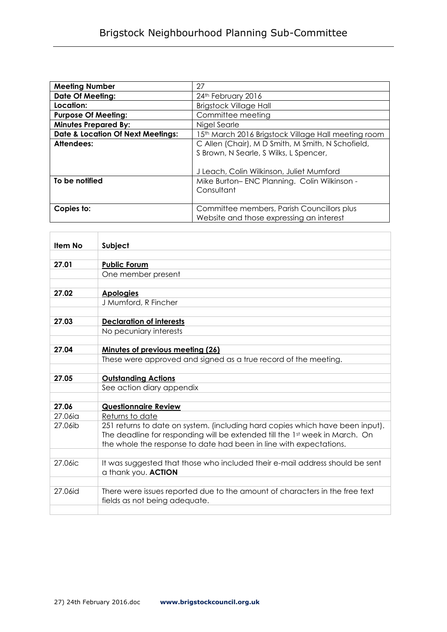| <b>Meeting Number</b>                        | 27                                                             |
|----------------------------------------------|----------------------------------------------------------------|
| <b>Date Of Meeting:</b>                      | 24th February 2016                                             |
| Location:                                    | <b>Brigstock Village Hall</b>                                  |
| <b>Purpose Of Meeting:</b>                   | Committee meeting                                              |
| <b>Minutes Prepared By:</b>                  | Nigel Searle                                                   |
| <b>Date &amp; Location Of Next Meetings:</b> | 5 <sup>th</sup> March 2016 Brigstock Village Hall meeting room |
| Attendees:                                   | C Allen (Chair), M D Smith, M Smith, N Schofield,              |
|                                              | S Brown, N Searle, S Wilks, L Spencer,                         |
|                                              |                                                                |
|                                              | J Leach, Colin Wilkinson, Juliet Mumford                       |
| To be notified                               | Mike Burton-ENC Planning. Colin Wilkinson -                    |
|                                              | Consultant                                                     |
|                                              |                                                                |
| Copies to:                                   | Committee members, Parish Councillors plus                     |
|                                              | Website and those expressing an interest                       |

| Item No | Subject                                                                       |
|---------|-------------------------------------------------------------------------------|
|         |                                                                               |
| 27.01   | <b>Public Forum</b>                                                           |
|         | One member present                                                            |
|         |                                                                               |
| 27.02   | <b>Apologies</b>                                                              |
|         | J Mumford, R Fincher                                                          |
|         |                                                                               |
| 27.03   | <b>Declaration of interests</b>                                               |
|         | No pecuniary interests                                                        |
|         |                                                                               |
| 27.04   | Minutes of previous meeting (26)                                              |
|         | These were approved and signed as a true record of the meeting.               |
|         |                                                                               |
| 27.05   | <b>Outstanding Actions</b>                                                    |
|         | See action diary appendix                                                     |
|         |                                                                               |
| 27.06   | <b>Questionnaire Review</b>                                                   |
| 27.06ia | Returns to date                                                               |
| 27.06ib | 251 returns to date on system. (including hard copies which have been input). |
|         | The deadline for responding will be extended till the 1st week in March. On   |
|         | the whole the response to date had been in line with expectations.            |
|         |                                                                               |
| 27.06ic | It was suggested that those who included their e-mail address should be sent  |
|         | a thank you. ACTION                                                           |
|         |                                                                               |
| 27.06id | There were issues reported due to the amount of characters in the free text   |
|         | fields as not being adequate.                                                 |
|         |                                                                               |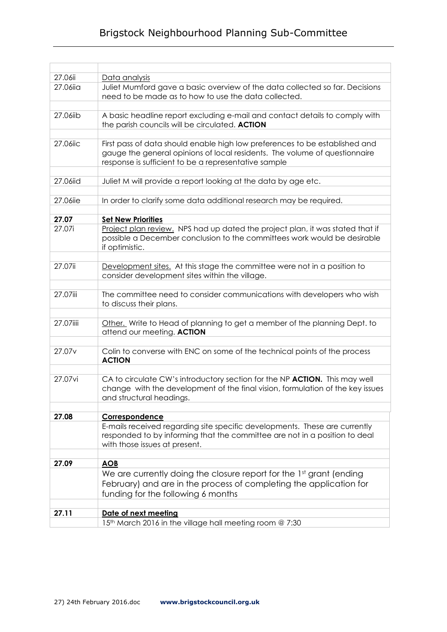## Brigstock Neighbourhood Planning Sub-Committee

| 27.06ii            | Data analysis                                                                                                                                                                                                     |
|--------------------|-------------------------------------------------------------------------------------------------------------------------------------------------------------------------------------------------------------------|
| 27.06iia           | Juliet Mumford gave a basic overview of the data collected so far. Decisions<br>need to be made as to how to use the data collected.                                                                              |
|                    |                                                                                                                                                                                                                   |
| 27.06iib           | A basic headline report excluding e-mail and contact details to comply with<br>the parish councils will be circulated. ACTION                                                                                     |
|                    |                                                                                                                                                                                                                   |
| 27.06iic           | First pass of data should enable high low preferences to be established and<br>gauge the general opinions of local residents. The volume of questionnaire<br>response is sufficient to be a representative sample |
|                    |                                                                                                                                                                                                                   |
| 27.06iid           | Juliet M will provide a report looking at the data by age etc.                                                                                                                                                    |
| 27.06iie           | In order to clarify some data additional research may be required.                                                                                                                                                |
|                    |                                                                                                                                                                                                                   |
| 27.07              | <b>Set New Priorities</b>                                                                                                                                                                                         |
| 27.07i             | Project plan review. NPS had up dated the project plan, it was stated that if<br>possible a December conclusion to the committees work would be desirable<br>if optimistic.                                       |
|                    |                                                                                                                                                                                                                   |
| 27.07ii            | Development sites. At this stage the committee were not in a position to<br>consider development sites within the village.                                                                                        |
|                    |                                                                                                                                                                                                                   |
| 27.07iii           | The committee need to consider communications with developers who wish<br>to discuss their plans.                                                                                                                 |
|                    |                                                                                                                                                                                                                   |
| 27.07iiii          | Other. Write to Head of planning to get a member of the planning Dept. to<br>attend our meeting. ACTION                                                                                                           |
|                    |                                                                                                                                                                                                                   |
| 27.07 <sub>v</sub> | Colin to converse with ENC on some of the technical points of the process<br><b>ACTION</b>                                                                                                                        |
|                    |                                                                                                                                                                                                                   |
| 27.07vi            | CA to circulate CW's introductory section for the NP ACTION. This may well<br>change with the development of the final vision, formulation of the key issues<br>and structural headings.                          |
|                    |                                                                                                                                                                                                                   |
| 27.08              | Correspondence                                                                                                                                                                                                    |
|                    | E-mails received regarding site specific developments. These are currently<br>responded to by informing that the committee are not in a position to deal<br>with those issues at present.                         |
| 27.09              | <b>AOB</b>                                                                                                                                                                                                        |
|                    | We are currently doing the closure report for the 1st grant (ending<br>February) and are in the process of completing the application for<br>funding for the following 6 months                                   |
| 27.11              | Date of next meeting                                                                                                                                                                                              |
|                    | 15th March 2016 in the village hall meeting room @ 7:30                                                                                                                                                           |
|                    |                                                                                                                                                                                                                   |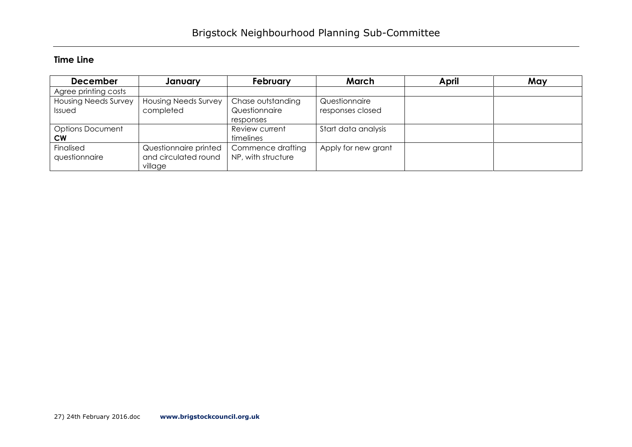## **Time Line**

| <b>December</b>             | January                     | <b>February</b>    | March               | April | May |
|-----------------------------|-----------------------------|--------------------|---------------------|-------|-----|
| Agree printing costs        |                             |                    |                     |       |     |
| <b>Housing Needs Survey</b> | <b>Housing Needs Survey</b> | Chase outstanding  | Questionnaire       |       |     |
| Issued                      | completed                   | Questionnaire      | responses closed    |       |     |
|                             |                             | responses          |                     |       |     |
| <b>Options Document</b>     |                             | Review current     | Start data analysis |       |     |
| <b>CW</b>                   |                             | timelines          |                     |       |     |
| Finalised                   | Questionnaire printed       | Commence drafting  | Apply for new grant |       |     |
| questionnaire               | and circulated round        | NP, with structure |                     |       |     |
|                             | village                     |                    |                     |       |     |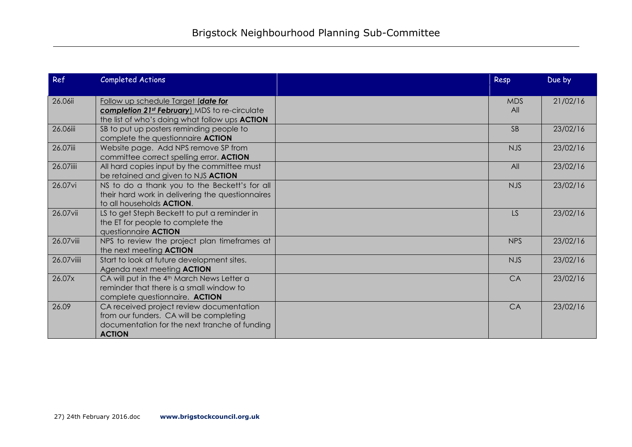| Ref         | <b>Completed Actions</b>                                                                                                                                  | Resp              | Due by   |
|-------------|-----------------------------------------------------------------------------------------------------------------------------------------------------------|-------------------|----------|
| 26.06ii     | Follow up schedule Target (date for<br>completion 21 <sup>st</sup> February) MDS to re-circulate<br>the list of who's doing what follow ups <b>ACTION</b> | <b>MDS</b><br>All | 21/02/16 |
| 26.06iii    | SB to put up posters reminding people to<br>complete the questionnaire ACTION                                                                             | <b>SB</b>         | 23/02/16 |
| 26.07iii    | Website page. Add NPS remove SP from<br>committee correct spelling error. ACTION                                                                          | <b>NJS</b>        | 23/02/16 |
| 26.07iiii   | All hard copies input by the committee must<br>be retained and given to NJS ACTION                                                                        | All               | 23/02/16 |
| 26.07vi     | NS to do a thank you to the Beckett's for all<br>their hard work in delivering the questionnaires<br>to all households <b>ACTION</b> .                    | <b>NJS</b>        | 23/02/16 |
| 26.07vii    | LS to get Steph Beckett to put a reminder in<br>the ET for people to complete the<br>questionnaire <b>ACTION</b>                                          | LS                | 23/02/16 |
| 26.07 viii  | NPS to review the project plan timeframes at<br>the next meeting <b>ACTION</b>                                                                            | <b>NPS</b>        | 23/02/16 |
| 26.07 viiii | Start to look at future development sites.<br>Agenda next meeting <b>ACTION</b>                                                                           | <b>NJS</b>        | 23/02/16 |
| 26.07x      | CA will put in the 4 <sup>th</sup> March News Letter a<br>reminder that there is a small window to<br>complete questionnaire. ACTION                      | CA                | 23/02/16 |
| 26.09       | CA received project review documentation<br>from our funders. CA will be completing<br>documentation for the next tranche of funding<br><b>ACTION</b>     | CA                | 23/02/16 |